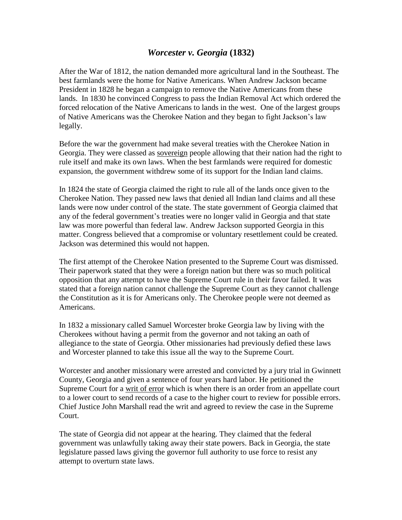## *Worcester v. Georgia* **(1832)**

After the War of 1812, the nation demanded more agricultural land in the Southeast. The best farmlands were the home for Native Americans. When Andrew Jackson became President in 1828 he began a campaign to remove the Native Americans from these lands. In 1830 he convinced Congress to pass the Indian Removal Act which ordered the forced relocation of the Native Americans to lands in the west. One of the largest groups of Native Americans was the Cherokee Nation and they began to fight Jackson's law legally.

Before the war the government had make several treaties with the Cherokee Nation in Georgia. They were classed as sovereign people allowing that their nation had the right to rule itself and make its own laws. When the best farmlands were required for domestic expansion, the government withdrew some of its support for the Indian land claims.

In 1824 the state of Georgia claimed the right to rule all of the lands once given to the Cherokee Nation. They passed new laws that denied all Indian land claims and all these lands were now under control of the state. The state government of Georgia claimed that any of the federal government's treaties were no longer valid in Georgia and that state law was more powerful than federal law. Andrew Jackson supported Georgia in this matter. Congress believed that a compromise or voluntary resettlement could be created. Jackson was determined this would not happen.

The first attempt of the Cherokee Nation presented to the Supreme Court was dismissed. Their paperwork stated that they were a foreign nation but there was so much political opposition that any attempt to have the Supreme Court rule in their favor failed. It was stated that a foreign nation cannot challenge the Supreme Court as they cannot challenge the Constitution as it is for Americans only. The Cherokee people were not deemed as Americans.

In 1832 a missionary called Samuel Worcester broke Georgia law by living with the Cherokees without having a permit from the governor and not taking an oath of allegiance to the state of Georgia. Other missionaries had previously defied these laws and Worcester planned to take this issue all the way to the Supreme Court.

Worcester and another missionary were arrested and convicted by a jury trial in Gwinnett County, Georgia and given a sentence of four years hard labor. He petitioned the Supreme Court for a writ of error which is when there is an order from an appellate court to a lower court to send records of a case to the higher court to review for possible errors. Chief Justice John Marshall read the writ and agreed to review the case in the Supreme Court.

The state of Georgia did not appear at the hearing. They claimed that the federal government was unlawfully taking away their state powers. Back in Georgia, the state legislature passed laws giving the governor full authority to use force to resist any attempt to overturn state laws.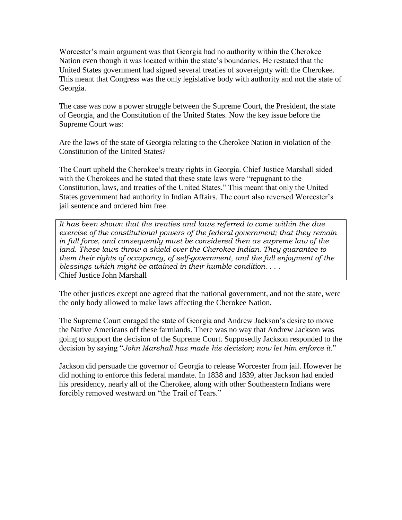Worcester's main argument was that Georgia had no authority within the Cherokee Nation even though it was located within the state's boundaries. He restated that the United States government had signed several treaties of sovereignty with the Cherokee. This meant that Congress was the only legislative body with authority and not the state of Georgia.

The case was now a power struggle between the Supreme Court, the President, the state of Georgia, and the Constitution of the United States. Now the key issue before the Supreme Court was:

Are the laws of the state of Georgia relating to the Cherokee Nation in violation of the Constitution of the United States?

The Court upheld the Cherokee's treaty rights in Georgia. Chief Justice Marshall sided with the Cherokees and he stated that these state laws were "repugnant to the Constitution, laws, and treaties of the United States." This meant that only the United States government had authority in Indian Affairs. The court also reversed Worcester's jail sentence and ordered him free.

*It has been shown that the treaties and laws referred to come within the due exercise of the constitutional powers of the federal government; that they remain in full force, and consequently must be considered then as supreme law of the land. These laws throw a shield over the Cherokee Indian. They guarantee to them their rights of occupancy, of self-government, and the full enjoyment of the blessings which might be attained in their humble condition. . . .* Chief Justice John Marshall

The other justices except one agreed that the national government, and not the state, were the only body allowed to make laws affecting the Cherokee Nation.

The Supreme Court enraged the state of Georgia and Andrew Jackson's desire to move the Native Americans off these farmlands. There was no way that Andrew Jackson was going to support the decision of the Supreme Court. Supposedly Jackson responded to the decision by saying "*John Marshall has made his decision; now let him enforce it*."

Jackson did persuade the governor of Georgia to release Worcester from jail. However he did nothing to enforce this federal mandate. In 1838 and 1839, after Jackson had ended his presidency, nearly all of the Cherokee, along with other Southeastern Indians were forcibly removed westward on "the Trail of Tears."